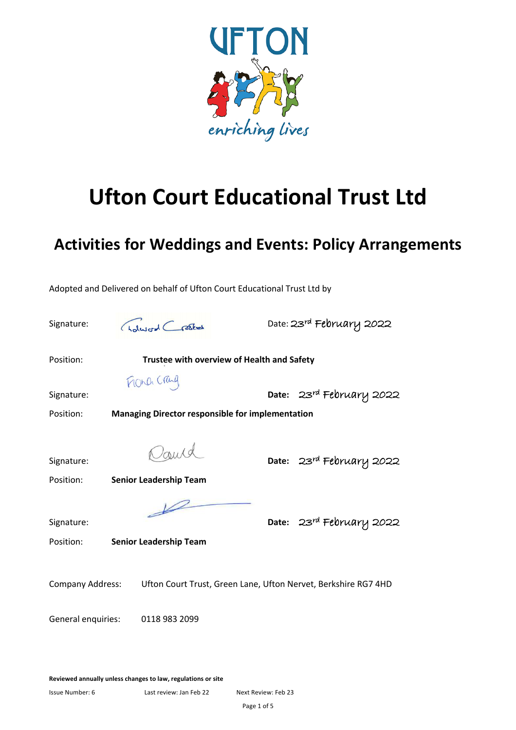

# **Ufton Court Educational Trust Ltd**

# **Activities for Weddings and Events: Policy Arrangements**

Signature: *(Idward Cracket* Date: 23<sup>rd</sup> February 2022 Position: **Trustee with overview of Health and Safety** FIORD Craig Signature: **Date:** 23<sup>rd</sup> February 2022 Position: **Managing Director responsible for implementation** Signature: **Date:** 23rd February 2022 Position: **Senior Leadership Team** Signature: **Date:** 23rd February 2022 Position: **Senior Leadership Team** Company Address: Ufton Court Trust, Green Lane, Ufton Nervet, Berkshire RG7 4HD General enquiries: 0118 983 2099

Adopted and Delivered on behalf of Ufton Court Educational Trust Ltd by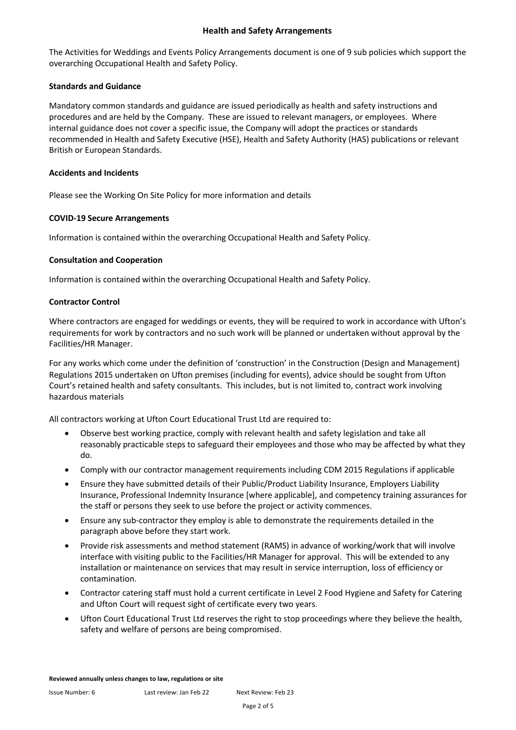#### **Health and Safety Arrangements**

The Activities for Weddings and Events Policy Arrangements document is one of 9 sub policies which support the overarching Occupational Health and Safety Policy.

#### **Standards and Guidance**

Mandatory common standards and guidance are issued periodically as health and safety instructions and procedures and are held by the Company. These are issued to relevant managers, or employees. Where internal guidance does not cover a specific issue, the Company will adopt the practices or standards recommended in Health and Safety Executive (HSE), Health and Safety Authority (HAS) publications or relevant British or European Standards.

#### **Accidents and Incidents**

Please see the Working On Site Policy for more information and details

#### **COVID-19 Secure Arrangements**

Information is contained within the overarching Occupational Health and Safety Policy.

#### **Consultation and Cooperation**

Information is contained within the overarching Occupational Health and Safety Policy.

#### **Contractor Control**

Where contractors are engaged for weddings or events, they will be required to work in accordance with Ufton's requirements for work by contractors and no such work will be planned or undertaken without approval by the Facilities/HR Manager.

For any works which come under the definition of 'construction' in the Construction (Design and Management) Regulations 2015 undertaken on Ufton premises (including for events), advice should be sought from Ufton Court's retained health and safety consultants. This includes, but is not limited to, contract work involving hazardous materials

All contractors working at Ufton Court Educational Trust Ltd are required to:

- Observe best working practice, comply with relevant health and safety legislation and take all reasonably practicable steps to safeguard their employees and those who may be affected by what they do.
- Comply with our contractor management requirements including CDM 2015 Regulations if applicable
- Ensure they have submitted details of their Public/Product Liability Insurance, Employers Liability Insurance, Professional Indemnity Insurance [where applicable], and competency training assurances for the staff or persons they seek to use before the project or activity commences.
- Ensure any sub-contractor they employ is able to demonstrate the requirements detailed in the paragraph above before they start work.
- Provide risk assessments and method statement (RAMS) in advance of working/work that will involve interface with visiting public to the Facilities/HR Manager for approval. This will be extended to any installation or maintenance on services that may result in service interruption, loss of efficiency or contamination.
- Contractor catering staff must hold a current certificate in Level 2 Food Hygiene and Safety for Catering and Ufton Court will request sight of certificate every two years.
- Ufton Court Educational Trust Ltd reserves the right to stop proceedings where they believe the health, safety and welfare of persons are being compromised.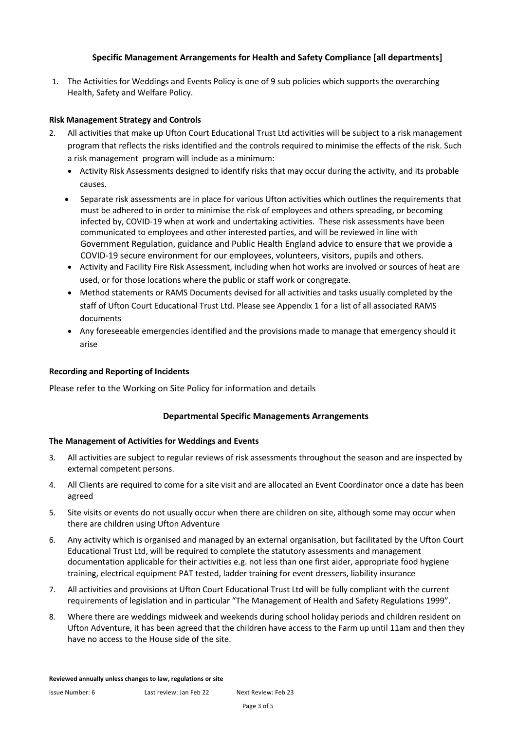#### **Specific Management Arrangements for Health and Safety Compliance [all departments]**

1. The Activities for Weddings and Events Policy is one of 9 sub policies which supports the overarching Health, Safety and Welfare Policy.

#### **Risk Management Strategy and Controls**

- 2. All activities that make up Ufton Court Educational Trust Ltd activities will be subject to a risk management program that reflects the risks identified and the controls required to minimise the effects of the risk. Such a risk management program will include as a minimum:
	- Activity Risk Assessments designed to identify risks that may occur during the activity, and its probable causes.
	- Separate risk assessments are in place for various Ufton activities which outlines the requirements that must be adhered to in order to minimise the risk of employees and others spreading, or becoming infected by, COVID-19 when at work and undertaking activities. These risk assessments have been communicated to employees and other interested parties, and will be reviewed in line with Government Regulation, guidance and Public Health England advice to ensure that we provide a COVID-19 secure environment for our employees, volunteers, visitors, pupils and others.
	- Activity and Facility Fire Risk Assessment, including when hot works are involved or sources of heat are used, or for those locations where the public or staff work or congregate.
	- Method statements or RAMS Documents devised for all activities and tasks usually completed by the staff of Ufton Court Educational Trust Ltd. Please see Appendix 1 for a list of all associated RAMS documents
	- Any foreseeable emergencies identified and the provisions made to manage that emergency should it arise

#### **Recording and Reporting of Incidents**

Please refer to the Working on Site Policy for information and details

#### **Departmental Specific Managements Arrangements**

#### **The Management of Activities for Weddings and Events**

- 3. All activities are subject to regular reviews of risk assessments throughout the season and are inspected by external competent persons.
- 4. All Clients are required to come for a site visit and are allocated an Event Coordinator once a date has been agreed
- 5. Site visits or events do not usually occur when there are children on site, although some may occur when there are children using Ufton Adventure
- 6. Any activity which is organised and managed by an external organisation, but facilitated by the Ufton Court Educational Trust Ltd, will be required to complete the statutory assessments and management documentation applicable for their activities e.g. not less than one first aider, appropriate food hygiene training, electrical equipment PAT tested, ladder training for event dressers, liability insurance
- 7. All activities and provisions at Ufton Court Educational Trust Ltd will be fully compliant with the current requirements of legislation and in particular "The Management of Health and Safety Regulations 1999".
- 8. Where there are weddings midweek and weekends during school holiday periods and children resident on Ufton Adventure, it has been agreed that the children have access to the Farm up until 11am and then they have no access to the House side of the site.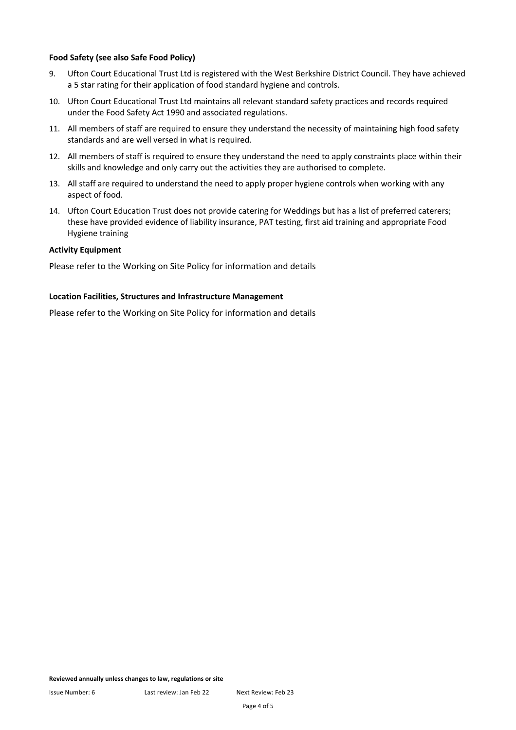#### **Food Safety (see also Safe Food Policy)**

- 9. Ufton Court Educational Trust Ltd is registered with the West Berkshire District Council. They have achieved a 5 star rating for their application of food standard hygiene and controls.
- 10. Ufton Court Educational Trust Ltd maintains all relevant standard safety practices and records required under the Food Safety Act 1990 and associated regulations.
- 11. All members of staff are required to ensure they understand the necessity of maintaining high food safety standards and are well versed in what is required.
- 12. All members of staff is required to ensure they understand the need to apply constraints place within their skills and knowledge and only carry out the activities they are authorised to complete.
- 13. All staff are required to understand the need to apply proper hygiene controls when working with any aspect of food.
- 14. Ufton Court Education Trust does not provide catering for Weddings but has a list of preferred caterers; these have provided evidence of liability insurance, PAT testing, first aid training and appropriate Food Hygiene training

#### **Activity Equipment**

Please refer to the Working on Site Policy for information and details

#### **Location Facilities, Structures and Infrastructure Management**

Please refer to the Working on Site Policy for information and details